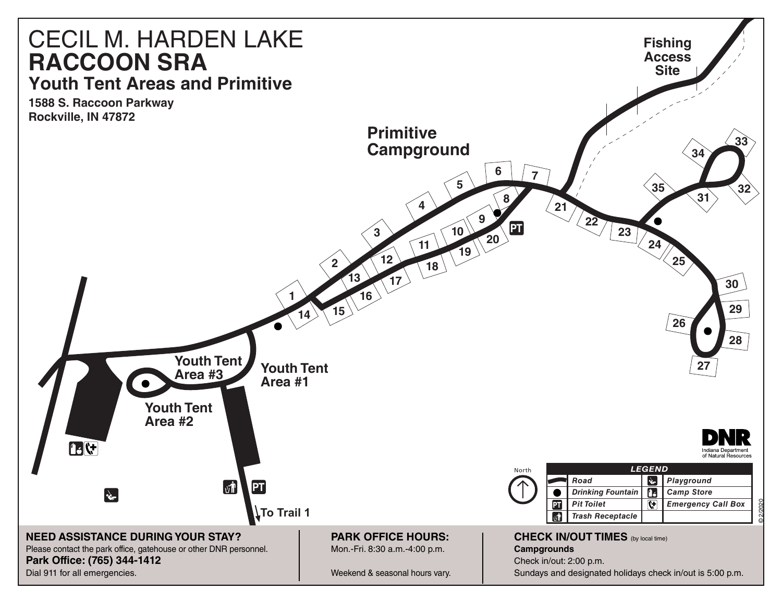